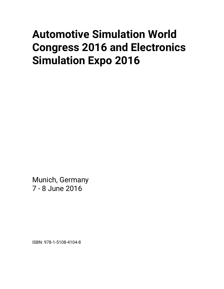# **Automotive Simulation World Congress 2016 and Electronics Simulation Expo 2016**

Munich, Germany 7 - 8 June 2016

ISBN: 978-1-5108-4104-8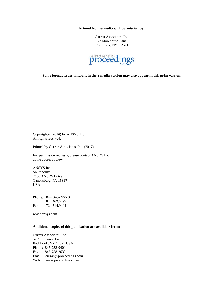**Printed from e-media with permission by:** 

Curran Associates, Inc. 57 Morehouse Lane Red Hook, NY 12571



**Some format issues inherent in the e-media version may also appear in this print version.** 

Copyright© (2016) by ANSYS Inc. All rights reserved.

Printed by Curran Associates, Inc. (2017)

For permission requests, please contact ANSYS Inc. at the address below.

ANSYS Inc. Southpointe 2600 ANSYS Drive Canonsburg, PA 15317 USA

Phone: 844.Go.ANSYS 844.462.6797 Fax: 724.514.9494

www.ansys.com

### **Additional copies of this publication are available from:**

Curran Associates, Inc. 57 Morehouse Lane Red Hook, NY 12571 USA Phone: 845-758-0400 Fax: 845-758-2633 Email: curran@proceedings.com Web: www.proceedings.com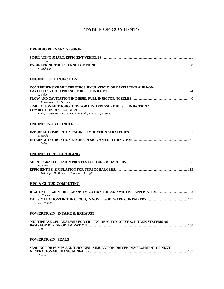# **TABLE OF CONTENTS**

#### **OPENING PLENARY SESSION**

| - S. Sovani |  |
|-------------|--|
|             |  |
| J. Cashman  |  |

#### **ENGINE: FUEL INJECTION**

| <b>COMPREHENSIVE MULTIPHYSICS SIMULATIONS OF CAVITATING AND NON-</b> |  |
|----------------------------------------------------------------------|--|
|                                                                      |  |
| L. Folev                                                             |  |
|                                                                      |  |
| F. Koukouvinis, M. Gavaises                                          |  |
| SIMULATION METHODOLOGY FOR HIGH PRESSURE DIESEL INJECTION &          |  |
|                                                                      |  |
| J. Shi, N. Guerrassi, G. Dober, P. Aguado, K. Krapic, E. Santos      |  |
|                                                                      |  |

#### **ENGINE: IN-CYCLINDER**

| E. Meeks |  |
|----------|--|
|          |  |
| L. Folev |  |

#### **ENGINE: TURBOCHARGING**

| M. Kainz                                    |  |
|---------------------------------------------|--|
|                                             |  |
| R. Wildhofer, W. Brack. B. Hubmann, D. Vogt |  |

#### **HPC & CLOUD COMPUTING**

| A. Clarich  |  |
|-------------|--|
|             |  |
| W. Gentzsch |  |

#### **POWERTRAIN: INTAKE & EXHAUST**

| MULTIPHASE CFD-ANALYSIS FOR FILLING OF AUTOMOTIVE SCR TANK SYSTEMS AS |  |
|-----------------------------------------------------------------------|--|
|                                                                       |  |
| S. Meyer                                                              |  |

#### **POWERTRAIN: SEALS**

| SEALING FOR PUMPS AND TURBINES - SIMULATION-DRIVEN DEVELOPMENT OF NEXT- |  |
|-------------------------------------------------------------------------|--|
|                                                                         |  |
| H. Inoue                                                                |  |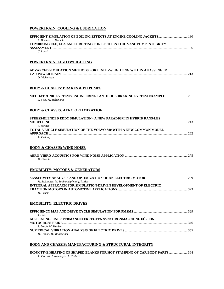# **POWERTRAIN: COOLING & LUBRICATION**

| <b>EFFICIENT SIMULATION OF BOILING EFFECTS AT ENGINE COOLING JACKETS 180</b><br>A. Boemer, P. Morsch                |  |
|---------------------------------------------------------------------------------------------------------------------|--|
| <b>COMBINING CFD, FEA AND SCRIPTING FOR EFFICIENT OIL VANE PUMP INTEGRITY</b>                                       |  |
| C. Lynch                                                                                                            |  |
| POWERTRAIN: LIGHTWEIGHTING                                                                                          |  |
|                                                                                                                     |  |
| ADVANCED SIMULATION METHODS FOR LIGHT-WEIGHTING WITHIN A PASSENGER                                                  |  |
| D. Vickerman                                                                                                        |  |
| <b>BODY &amp; CHASSIS: BRAKES &amp; PD PUMPS</b>                                                                    |  |
| MECHATRONIC SYSTEMS ENGINEERING : ANTILOCK BRAKING SYSTEM EXAMPLE<br>L. Voss, M. Sielemann                          |  |
| <b>BODY &amp; CHASSIS: AERO OPTIMIZATION</b>                                                                        |  |
| STRESS-BLENDED EDDY SIMULATION - A NEW PARADIGM IN HYBRID RANS-LES                                                  |  |
| F. Menter                                                                                                           |  |
| TOTAL VEHICLE SIMULATION OF THE VOLVO S80 WITH A NEW COMMON MODEL                                                   |  |
| T. Virdung                                                                                                          |  |
| <b>BODY &amp; CHASSIS: WIND NOISE</b>                                                                               |  |
| M. Oswald                                                                                                           |  |
| <b>EMOBILITY: MOTORS &amp; GENERATORS</b>                                                                           |  |
|                                                                                                                     |  |
| M. Stokmaier, M. Schimmelpfennig, T. Most<br><b>INTEGRAL APPROACH FOR SIMULATION-DRIVEN DEVELOPMENT OF ELECTRIC</b> |  |
| M. Bruck                                                                                                            |  |
| <b>EMOBILITY: ELECTRIC DRIVES</b>                                                                                   |  |
|                                                                                                                     |  |
| J. Goss                                                                                                             |  |
| AUSLEGUNG EINER PERMANENTERREGTEN SYNCHRONMASCHINE FÜR EIN                                                          |  |
| S. Bosch, M. Hauber                                                                                                 |  |
| M. Hanke, M. Moosrainer                                                                                             |  |
| <b>BODY AND CHASSIS: MANUFACTURING &amp; STRUCTURAL INTEGRITY</b>                                                   |  |
| <b>INDUCTIVE HEATING OF SHAPED BLANKS FOR HOT STAMPING OF CAR BODY PARTS  364</b>                                   |  |

*T. Vibrans, J. Neumeyer, J. Wibbeler*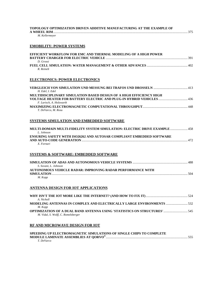| TOPOLOGY OPTIMIZATION DRIVEN ADDITIVE MANUFACTURING AT THE EXAMPLE OF<br>M. Kellermeyer                                 |
|-------------------------------------------------------------------------------------------------------------------------|
| <b>EMOBILITY: POWER SYSTEMS</b>                                                                                         |
| EFFICIENT WORKFLOW FOR EMC AND THERMAL MODELING OF A HIGH POWER<br>D. Grossi<br>R. Reinelt                              |
| <b>ELECTRONICS: POWER ELECTRONICS</b>                                                                                   |
| H. Edel, I. Edel                                                                                                        |
| MULTIDISCIPLINARY SIMULATION BASED DESIGN OF A HIGH EFFICIENCY HIGH<br>F. Larisch, A. Holzwarth                         |
| T. DeVarco, M. Rosu                                                                                                     |
| SYSTEMS SIMULATION AND EMBEDDED SOFTWARE                                                                                |
| MULTI-DOMAIN MULTI-FIDELITY SYSTEM SIMULATION: ELECTRIC DRIVE EXAMPLE  458<br>L. Johnson                                |
| <b>ENSURING SAFETY WITH ISO26262 AND AUTOSAR COMPLIANT EMBEDDED SOFTWARE</b><br>X. Fornari                              |
| <b>SYSTEMS &amp; SOFTWARE: EMBEDDED SOFTWARE</b>                                                                        |
| S. Sovani, L. Johnson                                                                                                   |
| <b>AUTONOMOUS VEHICLE RADAR: IMPROVING RADAR PERFORMANCE WITH</b><br>M. Kopp                                            |
| <b>ANTENNA DESIGN FOR IOT APPLICATIONS</b>                                                                              |
| A. Nicholl                                                                                                              |
| <b>MODELING ANTENNAS IN COMPLEX AND ELECTRICALLY LARGE ENVIRONMENTS  532</b><br>M. Kopp                                 |
| <b>OPTIMIZATION OF A DUAL BAND ANTENNA USING 'STATISTICS ON STRUCTURES'  545</b><br>M. Vidal, S. Wolff, C. Romelsberger |

# **RF AND MICROWAVE DESIGN FOR IOT**

| SPEEDING UP ELECTROMAGNETIC SIMULATIONS OF SINGLE CHIPS TO COMPLETE |  |
|---------------------------------------------------------------------|--|
|                                                                     |  |
| T. DeVarco                                                          |  |